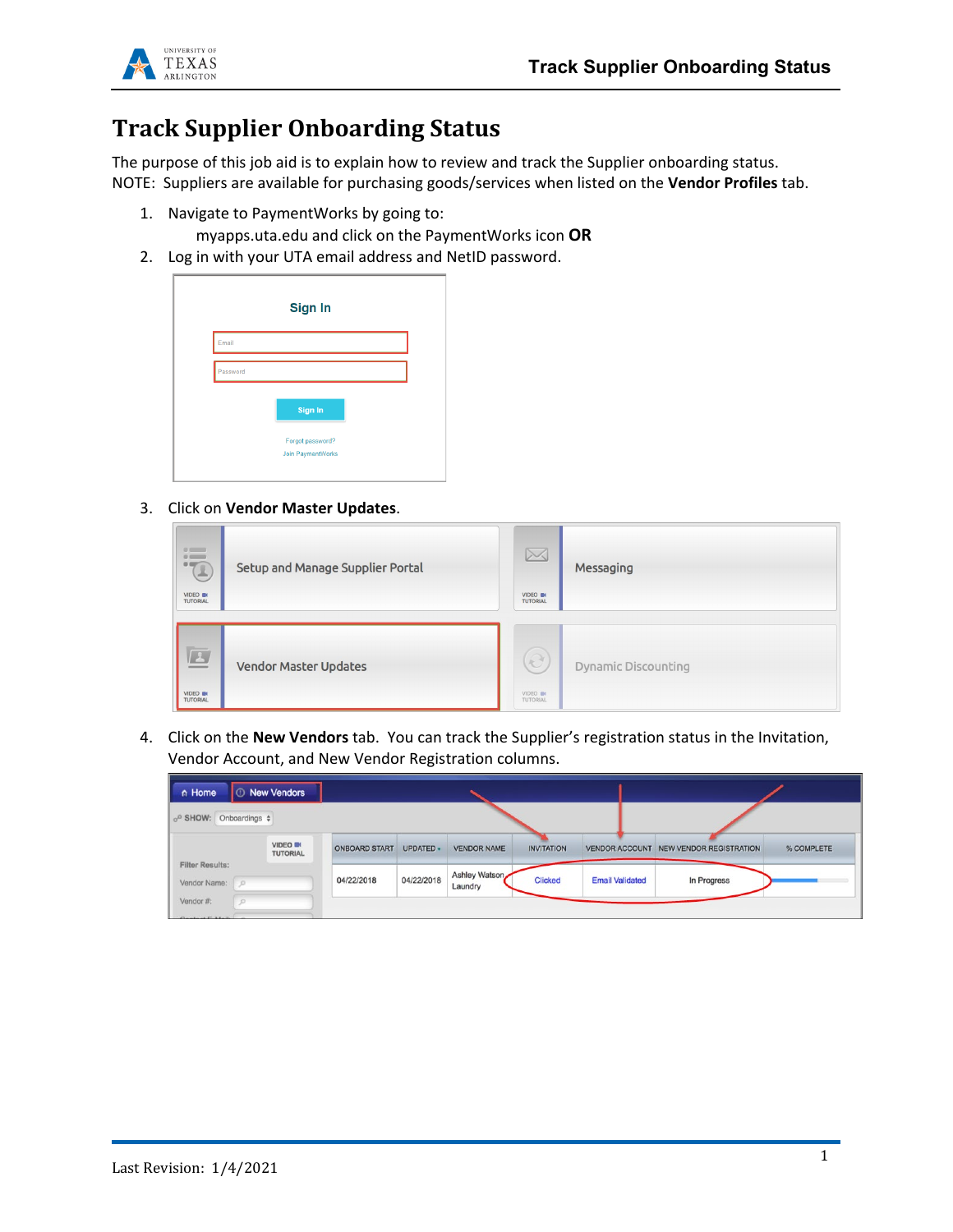

# **Track Supplier Onboarding Status**

The purpose of this job aid is to explain how to review and track the Supplier onboarding status. NOTE: Suppliers are available for purchasing goods/services when listed on the **Vendor Profiles** tab.

1. Navigate to PaymentWorks by going to:

myapps.uta.edu and click on the PaymentWorks icon **OR**

2. Log in with your UTA email address and NetID password.



3. Click on **Vendor Master Updates**.

| <b>in</b><br>VIDEO IN<br><b>TUTORIAL</b> | Setup and Manage Supplier Portal | $\boxtimes$<br>VIDEO IN<br><b>TUTORIAL</b>   | Messaging                  |
|------------------------------------------|----------------------------------|----------------------------------------------|----------------------------|
| $\Box$<br>VIDEO IN<br><b>TUTORIAL</b>    | <b>Vendor Master Updates</b>     | $\widehat{\partial}$<br>VIDEO IN<br>TUTORIAL | <b>Dynamic Discounting</b> |

4. Click on the **New Vendors** tab. You can track the Supplier's registration status in the Invitation, Vendor Account, and New Vendor Registration columns.

|            | UPDATED +                           | <b>VENDOR NAME</b>       | <b>INVITATION</b> |                        | NEW VENDOR REGISTRATION | % COMPLETE            |  |
|------------|-------------------------------------|--------------------------|-------------------|------------------------|-------------------------|-----------------------|--|
| 04/22/2018 | 04/22/2018                          | Ashley Watson<br>Laundry | <b>Clicked</b>    | <b>Email Validated</b> | In Progress             |                       |  |
|            | <b>VIDEO III</b><br><b>TUTORIAL</b> | <b>ONBOARD START</b>     |                   |                        |                         | <b>VENDOR ACCOUNT</b> |  |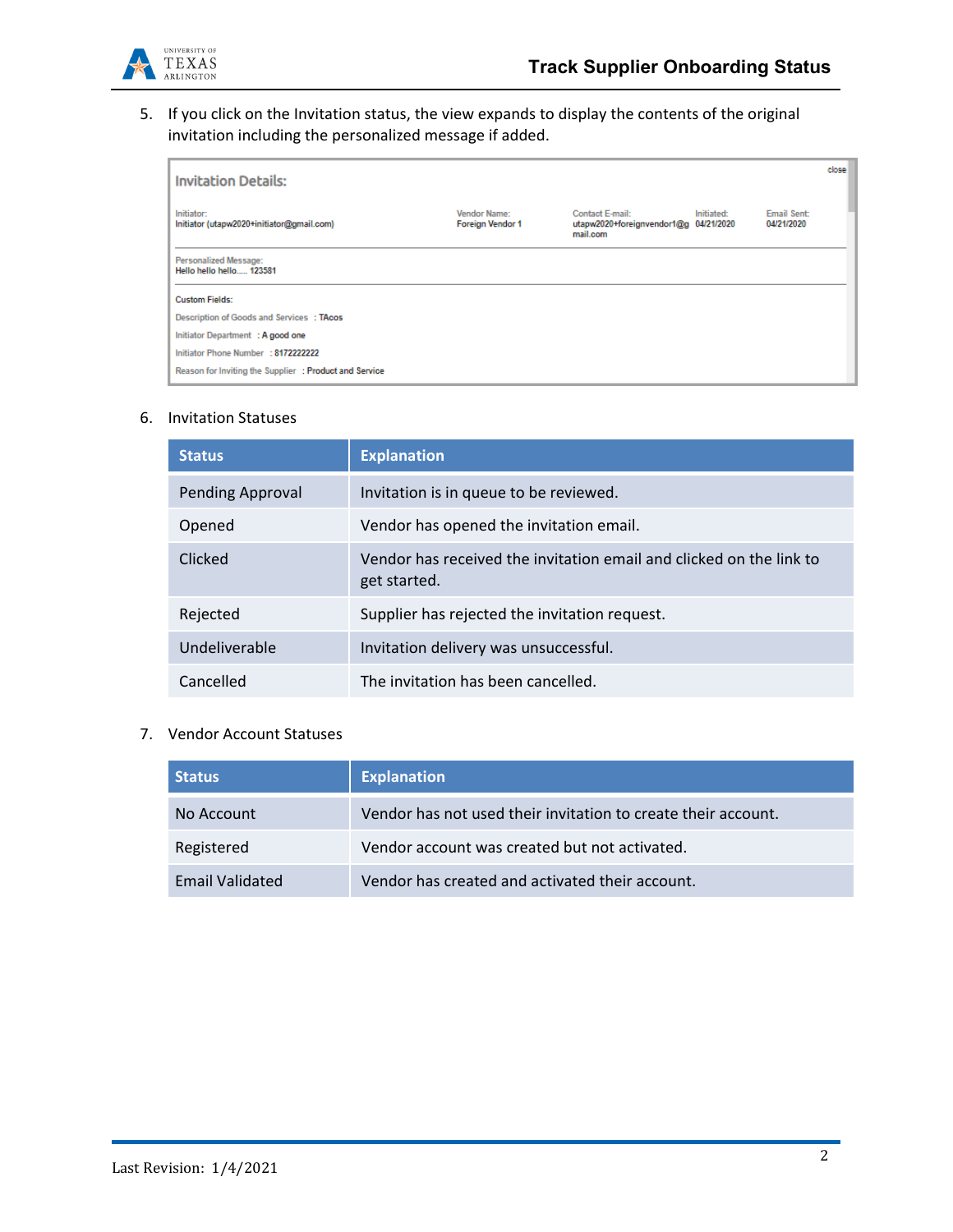

5. If you click on the Invitation status, the view expands to display the contents of the original invitation including the personalized message if added.

| <b>Invitation Details:</b>                              |                                                |                                                                      |            |                           | close |
|---------------------------------------------------------|------------------------------------------------|----------------------------------------------------------------------|------------|---------------------------|-------|
| Initiator:<br>Initiator (utapw2020+initiator@gmail.com) | <b>Vendor Name:</b><br><b>Foreign Vendor 1</b> | Contact E-mail:<br>utapw2020+foreignvendor1@g 04/21/2020<br>mail.com | Initiated: | Email Sent:<br>04/21/2020 |       |
| Personalized Message:<br>Hello hello hello 123581       |                                                |                                                                      |            |                           |       |
| <b>Custom Fields:</b>                                   |                                                |                                                                      |            |                           |       |
| Description of Goods and Services : TAcos               |                                                |                                                                      |            |                           |       |
| Initiator Department : A good one                       |                                                |                                                                      |            |                           |       |
| Initiator Phone Number : 8172222222                     |                                                |                                                                      |            |                           |       |
| Reason for Inviting the Supplier : Product and Service  |                                                |                                                                      |            |                           |       |

## 6. Invitation Statuses

| <b>Status</b>           | <b>Explanation</b>                                                                  |
|-------------------------|-------------------------------------------------------------------------------------|
| <b>Pending Approval</b> | Invitation is in queue to be reviewed.                                              |
| Opened                  | Vendor has opened the invitation email.                                             |
| Clicked                 | Vendor has received the invitation email and clicked on the link to<br>get started. |
| Rejected                | Supplier has rejected the invitation request.                                       |
| Undeliverable           | Invitation delivery was unsuccessful.                                               |
| Cancelled               | The invitation has been cancelled.                                                  |

#### 7. Vendor Account Statuses

| <b>Status</b>   | <b>Explanation</b>                                            |
|-----------------|---------------------------------------------------------------|
| No Account      | Vendor has not used their invitation to create their account. |
| Registered      | Vendor account was created but not activated.                 |
| Email Validated | Vendor has created and activated their account.               |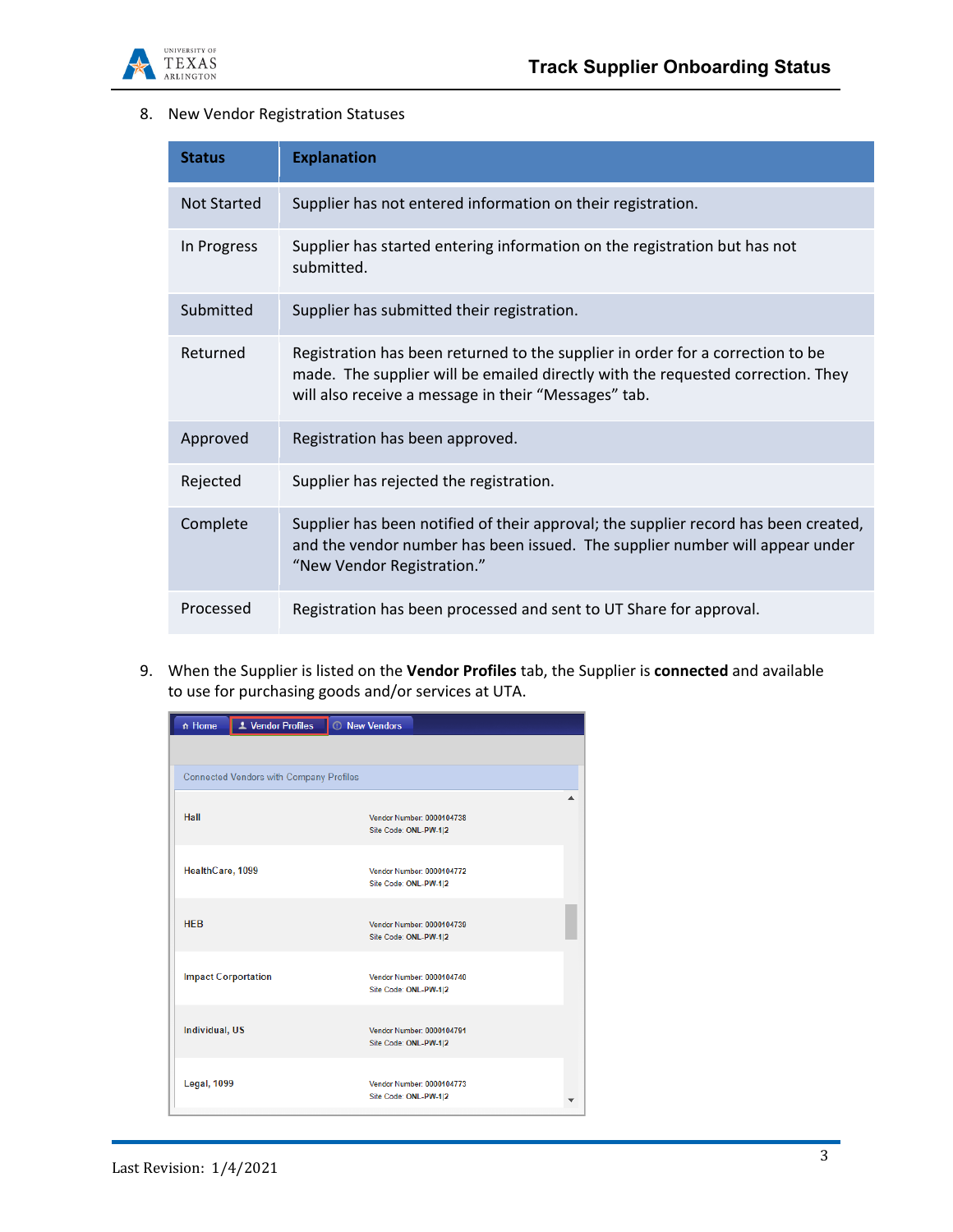

# 8. New Vendor Registration Statuses

| <b>Status</b>      | <b>Explanation</b>                                                                                                                                                                                                        |
|--------------------|---------------------------------------------------------------------------------------------------------------------------------------------------------------------------------------------------------------------------|
| <b>Not Started</b> | Supplier has not entered information on their registration.                                                                                                                                                               |
| In Progress        | Supplier has started entering information on the registration but has not<br>submitted.                                                                                                                                   |
| Submitted          | Supplier has submitted their registration.                                                                                                                                                                                |
| Returned           | Registration has been returned to the supplier in order for a correction to be<br>made. The supplier will be emailed directly with the requested correction. They<br>will also receive a message in their "Messages" tab. |
| Approved           | Registration has been approved.                                                                                                                                                                                           |
| Rejected           | Supplier has rejected the registration.                                                                                                                                                                                   |
| Complete           | Supplier has been notified of their approval; the supplier record has been created,<br>and the vendor number has been issued. The supplier number will appear under<br>"New Vendor Registration."                         |
| Processed          | Registration has been processed and sent to UT Share for approval.                                                                                                                                                        |

9. When the Supplier is listed on the **Vendor Profiles** tab, the Supplier is **connected** and available to use for purchasing goods and/or services at UTA.

| n Home                | L Vendor Profiles                              | <b><i>O</i></b> New Vendors                        |  |
|-----------------------|------------------------------------------------|----------------------------------------------------|--|
|                       |                                                |                                                    |  |
|                       | <b>Connected Vendors with Company Profiles</b> |                                                    |  |
| Hall                  |                                                | Vendor Number: 0000104738<br>Site Code: ONL-PW-1 2 |  |
| HealthCare, 1099      |                                                | Vendor Number: 0000104772<br>Site Code: ONL-PW-1 2 |  |
| <b>HFB</b>            |                                                | Vendor Number: 0000104739<br>Site Code: ONL-PW-1 2 |  |
|                       | <b>Impact Corportation</b>                     | Vendor Number: 0000104740<br>Site Code: ONL-PW-1 2 |  |
| <b>Individual, US</b> |                                                | Vendor Number: 0000104791<br>Site Code: ONL-PW-1 2 |  |
| <b>Legal, 1099</b>    |                                                | Vendor Number: 0000104773<br>Site Code: ONL-PW-1 2 |  |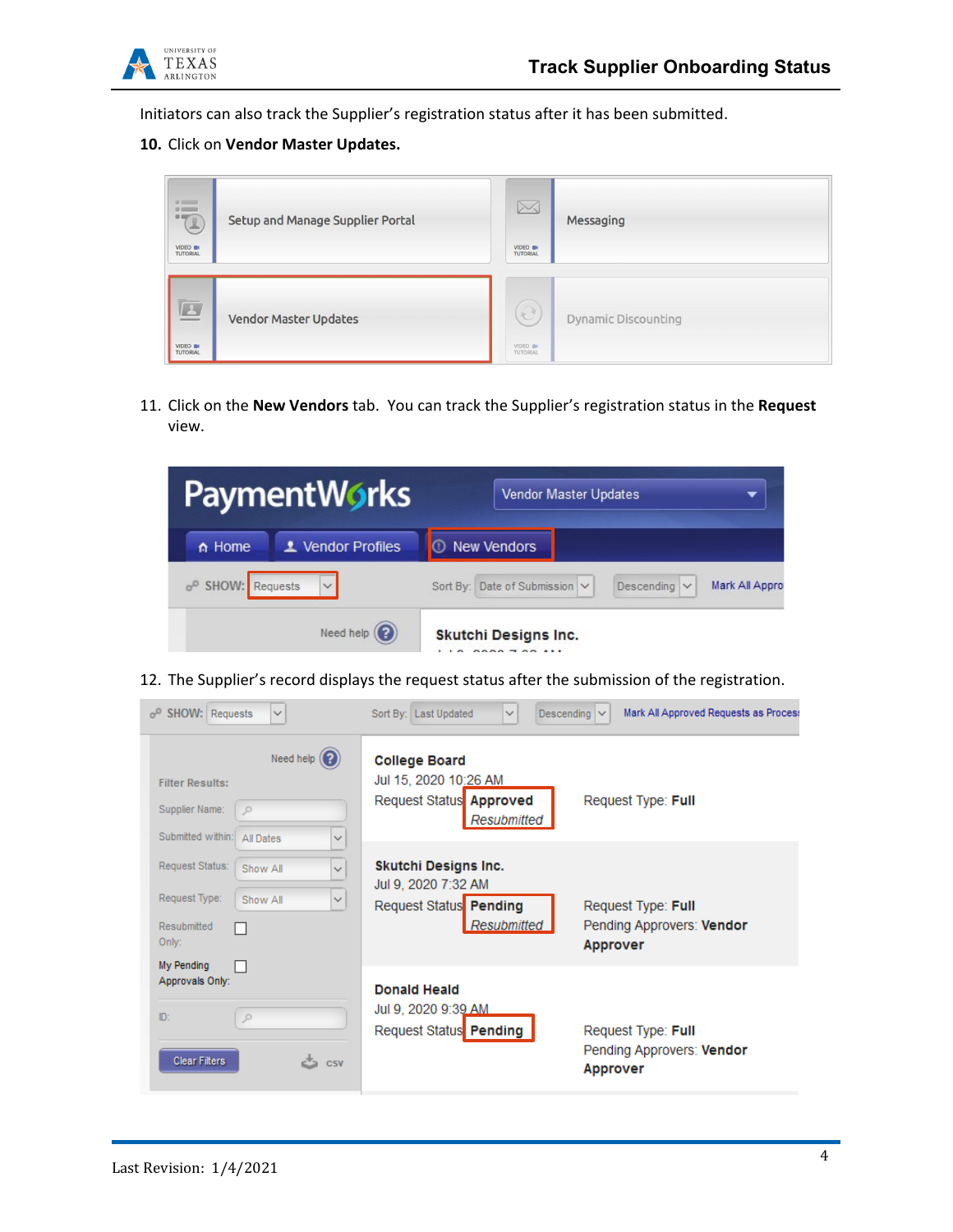

Initiators can also track the Supplier's registration status after it has been submitted.

## **10.** Click on **Vendor Master Updates.**

| "<br>VIDEO IN<br><b>TUTORIAL</b>                                | Setup and Manage Supplier Portal | $\boxtimes$<br>VIDEO IN<br><b>TUTORIAL</b> | Messaging                  |
|-----------------------------------------------------------------|----------------------------------|--------------------------------------------|----------------------------|
| $\boxed{\underline{\mathbf{L}}}$<br>VIDEO IN<br><b>TUTORIAL</b> | <b>Vendor Master Updates</b>     | $\widehat{e}$<br>VIDEO IN<br>TUTORIAL      | <b>Dynamic Discounting</b> |

11. Click on the **New Vendors** tab. You can track the Supplier's registration status in the **Request** view.

| <b>PaymentWorks</b>           |                      | Vendor Master Updates                                                |
|-------------------------------|----------------------|----------------------------------------------------------------------|
| $\land$ Home                  | L Vendor Profiles    | <b>C</b> New Vendors                                                 |
| o <sup>o</sup> SHOW: Requests |                      | Sort By: Date of Submission V<br>Descending $\vee$<br>Mark All Appro |
|                               | Need help $\left($ ? | Skutchi Designs Inc.<br><b>BABA - 88 111</b>                         |

12. The Supplier's record displays the request status after the submission of the registration.

| $\sigma^0$ SHOW: Requests<br>$\checkmark$                                                                           | Sort By: Last Updated<br>$\checkmark$                                                   | Mark All Approved Requests as Process<br>Descending $\vee$         |
|---------------------------------------------------------------------------------------------------------------------|-----------------------------------------------------------------------------------------|--------------------------------------------------------------------|
| Need help $(2)$<br><b>Filter Results:</b><br>Supplier Name:<br>$\mathcal{P}$<br>Submitted within: All Dates<br>✓    | <b>College Board</b><br>Jul 15, 2020 10:26 AM<br>Request Status Approved<br>Resubmitted | Request Type: Full                                                 |
| Request Status:<br>Show All<br>$\checkmark$<br>Request Type:<br>Show All<br>✓<br>Resubmitted<br>Only:<br>My Pending | Skutchi Designs Inc.<br>Jul 9, 2020 7:32 AM<br>Request Status Pending<br>Resubmitted    | Request Type: Full<br>Pending Approvers: Vendor<br><b>Approver</b> |
| Approvals Only:<br>ID:<br>$\circ$<br><b>Clear Filters</b><br>C5V                                                    | <b>Donald Heald</b><br>Jul 9, 2020 9:39 AM<br>Request Status Pending                    | Request Type: Full<br>Pending Approvers: Vendor<br><b>Approver</b> |

i.